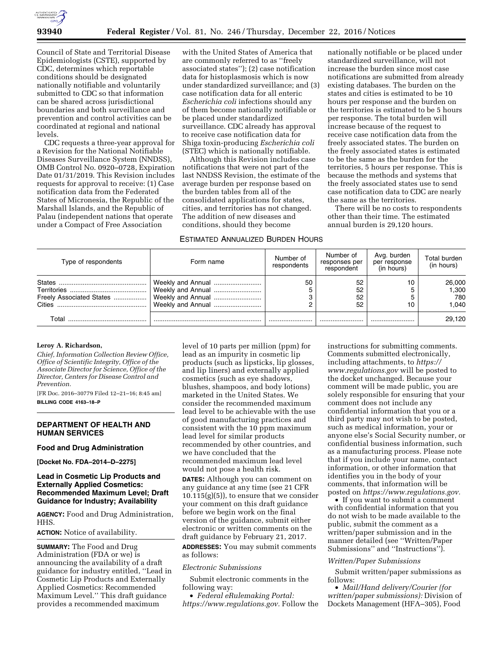

Council of State and Territorial Disease Epidemiologists (CSTE), supported by CDC, determines which reportable conditions should be designated nationally notifiable and voluntarily submitted to CDC so that information can be shared across jurisdictional boundaries and both surveillance and prevention and control activities can be coordinated at regional and national levels.

CDC requests a three-year approval for a Revision for the National Notifiable Diseases Surveillance System (NNDSS), OMB Control No. 0920–0728, Expiration Date 01/31/2019. This Revision includes requests for approval to receive: (1) Case notification data from the Federated States of Micronesia, the Republic of the Marshall Islands, and the Republic of Palau (independent nations that operate under a Compact of Free Association

with the United States of America that are commonly referred to as ''freely associated states''); (2) case notification data for histoplasmosis which is now under standardized surveillance; and (3) case notification data for all enteric *Escherichia coli* infections should any of them become nationally notifiable or be placed under standardized surveillance. CDC already has approval to receive case notification data for Shiga toxin-producing *Escherichia coli*  (STEC) which is nationally notifiable.

Although this Revision includes case notifications that were not part of the last NNDSS Revision, the estimate of the average burden per response based on the burden tables from all of the consolidated applications for states, cities, and territories has not changed. The addition of new diseases and conditions, should they become

## ESTIMATED ANNUALIZED BURDEN HOURS

nationally notifiable or be placed under standardized surveillance, will not increase the burden since most case notifications are submitted from already existing databases. The burden on the states and cities is estimated to be 10 hours per response and the burden on the territories is estimated to be 5 hours per response. The total burden will increase because of the request to receive case notification data from the freely associated states. The burden on the freely associated states is estimated to be the same as the burden for the territories, 5 hours per response. This is because the methods and systems that the freely associated states use to send case notification data to CDC are nearly the same as the territories.

There will be no costs to respondents other than their time. The estimated annual burden is 29,120 hours.

| Type of respondents                | Form name                                                                        | Number of<br>respondents | Number of<br>responses per<br>respondent | Avg. burden<br>per response<br>(in hours) | Total burden<br>(in hours)      |
|------------------------------------|----------------------------------------------------------------------------------|--------------------------|------------------------------------------|-------------------------------------------|---------------------------------|
| Freely Associated States<br>Cities | Weekly and Annual<br>Weekly and Annual<br>Weekly and Annual<br>Weekly and Annual | 50                       | 52<br>52<br>52<br>52                     |                                           | 26,000<br>1,300<br>780<br>1.040 |
| Total                              |                                                                                  |                          |                                          |                                           | 29.120                          |

#### **Leroy A. Richardson,**

*Chief, Information Collection Review Office, Office of Scientific Integrity, Office of the Associate Director for Science, Office of the Director, Centers for Disease Control and Prevention.* 

[FR Doc. 2016–30779 Filed 12–21–16; 8:45 am] **BILLING CODE 4163–18–P** 

## **DEPARTMENT OF HEALTH AND HUMAN SERVICES**

### **Food and Drug Administration**

**[Docket No. FDA–2014–D–2275]** 

## **Lead in Cosmetic Lip Products and Externally Applied Cosmetics: Recommended Maximum Level; Draft Guidance for Industry; Availability**

**AGENCY:** Food and Drug Administration, HHS.

**ACTION:** Notice of availability.

**SUMMARY:** The Food and Drug Administration (FDA or we) is announcing the availability of a draft guidance for industry entitled, ''Lead in Cosmetic Lip Products and Externally Applied Cosmetics: Recommended Maximum Level.'' This draft guidance provides a recommended maximum

level of 10 parts per million (ppm) for lead as an impurity in cosmetic lip products (such as lipsticks, lip glosses, and lip liners) and externally applied cosmetics (such as eye shadows, blushes, shampoos, and body lotions) marketed in the United States. We consider the recommended maximum lead level to be achievable with the use of good manufacturing practices and consistent with the 10 ppm maximum lead level for similar products recommended by other countries, and we have concluded that the recommended maximum lead level would not pose a health risk.

**DATES:** Although you can comment on any guidance at any time (see 21 CFR  $10.115(g)(5)$ , to ensure that we consider your comment on this draft guidance before we begin work on the final version of the guidance, submit either electronic or written comments on the draft guidance by February 21, 2017.

**ADDRESSES:** You may submit comments as follows:

# *Electronic Submissions*

Submit electronic comments in the following way:

• *Federal eRulemaking Portal: [https://www.regulations.gov.](https://www.regulations.gov)* Follow the

instructions for submitting comments. Comments submitted electronically, including attachments, to *[https://](https://www.regulations.gov) [www.regulations.gov](https://www.regulations.gov)* will be posted to the docket unchanged. Because your comment will be made public, you are solely responsible for ensuring that your comment does not include any confidential information that you or a third party may not wish to be posted, such as medical information, your or anyone else's Social Security number, or confidential business information, such as a manufacturing process. Please note that if you include your name, contact information, or other information that identifies you in the body of your comments, that information will be posted on *[https://www.regulations.gov.](https://www.regulations.gov)* 

• If you want to submit a comment with confidential information that you do not wish to be made available to the public, submit the comment as a written/paper submission and in the manner detailed (see ''Written/Paper Submissions'' and ''Instructions'').

## *Written/Paper Submissions*

Submit written/paper submissions as follows:

• *Mail/Hand delivery/Courier (for written/paper submissions):* Division of Dockets Management (HFA–305), Food